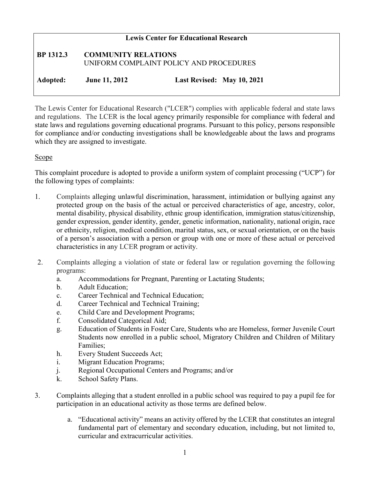# **Lewis Center for Educational Research BP 1312.3 COMMUNITY RELATIONS** UNIFORM COMPLAINT POLICY AND PROCEDURES **Adopted: June 11, 2012 Last Revised: May 10, 2021**

The Lewis Center for Educational Research ("LCER") complies with applicable federal and state laws and regulations. The LCER is the local agency primarily responsible for compliance with federal and state laws and regulations governing educational programs. Pursuant to this policy, persons responsible for compliance and/or conducting investigations shall be knowledgeable about the laws and programs which they are assigned to investigate.

### Scope

This complaint procedure is adopted to provide a uniform system of complaint processing ("UCP") for the following types of complaints:

- 1. Complaints alleging unlawful discrimination, harassment, intimidation or bullying against any protected group on the basis of the actual or perceived characteristics of age, ancestry, color, mental disability, physical disability, ethnic group identification, immigration status/citizenship, gender expression, gender identity, gender, genetic information, nationality, national origin, race or ethnicity, religion, medical condition, marital status, sex, or sexual orientation, or on the basis of a person's association with a person or group with one or more of these actual or perceived characteristics in any LCER program or activity.
- 2. Complaints alleging a violation of state or federal law or regulation governing the following programs:
	- a. Accommodations for Pregnant, Parenting or Lactating Students;
	- b. Adult Education;
	- c. Career Technical and Technical Education;
	- d. Career Technical and Technical Training;
	- e. Child Care and Development Programs;
	- f. Consolidated Categorical Aid;
	- g. Education of Students in Foster Care, Students who are Homeless, former Juvenile Court Students now enrolled in a public school, Migratory Children and Children of Military Families;
	- h. Every Student Succeeds Act;
	- i. Migrant Education Programs;
	- j. Regional Occupational Centers and Programs; and/or
	- k. School Safety Plans.
- 3. Complaints alleging that a student enrolled in a public school was required to pay a pupil fee for participation in an educational activity as those terms are defined below.
	- a. "Educational activity" means an activity offered by the LCER that constitutes an integral fundamental part of elementary and secondary education, including, but not limited to, curricular and extracurricular activities.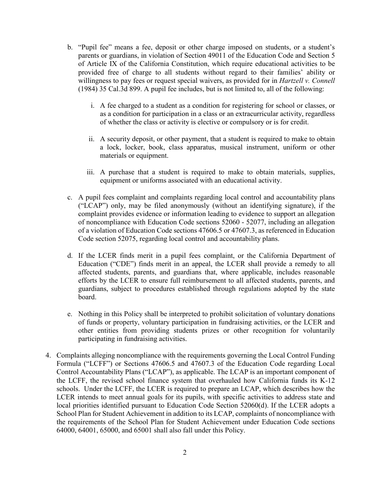- b. "Pupil fee" means a fee, deposit or other charge imposed on students, or a student's parents or guardians, in violation of Section 49011 of the Education Code and Section 5 of Article IX of the California Constitution, which require educational activities to be provided free of charge to all students without regard to their families' ability or willingness to pay fees or request special waivers, as provided for in *Hartzell v. Connell*  (1984) 35 Cal.3d 899. A pupil fee includes, but is not limited to, all of the following:
	- i. A fee charged to a student as a condition for registering for school or classes, or as a condition for participation in a class or an extracurricular activity, regardless of whether the class or activity is elective or compulsory or is for credit.
	- ii. A security deposit, or other payment, that a student is required to make to obtain a lock, locker, book, class apparatus, musical instrument, uniform or other materials or equipment.
	- iii. A purchase that a student is required to make to obtain materials, supplies, equipment or uniforms associated with an educational activity.
- c. A pupil fees complaint and complaints regarding local control and accountability plans ("LCAP") only, may be filed anonymously (without an identifying signature), if the complaint provides evidence or information leading to evidence to support an allegation of noncompliance with Education Code sections 52060 - 52077, including an allegation of a violation of Education Code sections 47606.5 or 47607.3, as referenced in Education Code section 52075, regarding local control and accountability plans.
- d. If the LCER finds merit in a pupil fees complaint, or the California Department of Education ("CDE") finds merit in an appeal, the LCER shall provide a remedy to all affected students, parents, and guardians that, where applicable, includes reasonable efforts by the LCER to ensure full reimbursement to all affected students, parents, and guardians, subject to procedures established through regulations adopted by the state board.
- e. Nothing in this Policy shall be interpreted to prohibit solicitation of voluntary donations of funds or property, voluntary participation in fundraising activities, or the LCER and other entities from providing students prizes or other recognition for voluntarily participating in fundraising activities.
- 4. Complaints alleging noncompliance with the requirements governing the Local Control Funding Formula ("LCFF") or Sections 47606.5 and 47607.3 of the Education Code regarding Local Control Accountability Plans ("LCAP"), as applicable. The LCAP is an important component of the LCFF, the revised school finance system that overhauled how California funds its K-12 schools. Under the LCFF, the LCER is required to prepare an LCAP, which describes how the LCER intends to meet annual goals for its pupils, with specific activities to address state and local priorities identified pursuant to Education Code Section 52060(d). If the LCER adopts a School Plan for Student Achievement in addition to its LCAP, complaints of noncompliance with the requirements of the School Plan for Student Achievement under Education Code sections 64000, 64001, 65000, and 65001 shall also fall under this Policy.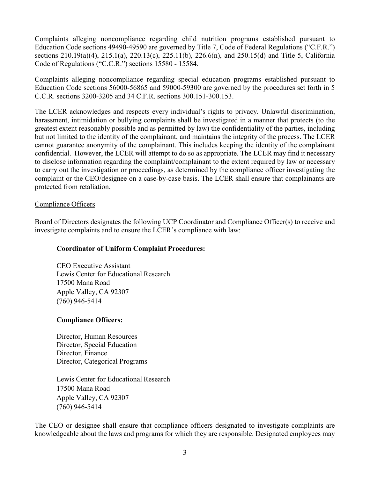Complaints alleging noncompliance regarding child nutrition programs established pursuant to Education Code sections 49490-49590 are governed by Title 7, Code of Federal Regulations ("C.F.R.") sections 210.19(a)(4), 215.1(a), 220.13(c), 225.11(b), 226.6(n), and 250.15(d) and Title 5, California Code of Regulations ("C.C.R.") sections 15580 - 15584.

Complaints alleging noncompliance regarding special education programs established pursuant to Education Code sections 56000-56865 and 59000-59300 are governed by the procedures set forth in 5 C.C.R. sections 3200-3205 and 34 C.F.R. sections 300.151-300.153.

The LCER acknowledges and respects every individual's rights to privacy. Unlawful discrimination, harassment, intimidation or bullying complaints shall be investigated in a manner that protects (to the greatest extent reasonably possible and as permitted by law) the confidentiality of the parties, including but not limited to the identity of the complainant, and maintains the integrity of the process. The LCER cannot guarantee anonymity of the complainant. This includes keeping the identity of the complainant confidential. However, the LCER will attempt to do so as appropriate. The LCER may find it necessary to disclose information regarding the complaint/complainant to the extent required by law or necessary to carry out the investigation or proceedings, as determined by the compliance officer investigating the complaint or the CEO/designee on a case-by-case basis. The LCER shall ensure that complainants are protected from retaliation.

### Compliance Officers

Board of Directors designates the following UCP Coordinator and Compliance Officer(s) to receive and investigate complaints and to ensure the LCER's compliance with law:

### **Coordinator of Uniform Complaint Procedures:**

CEO Executive Assistant Lewis Center for Educational Research 17500 Mana Road Apple Valley, CA 92307 (760) 946-5414

#### **Compliance Officers:**

Director, Human Resources Director, Special Education Director, Finance Director, Categorical Programs

Lewis Center for Educational Research 17500 Mana Road Apple Valley, CA 92307 (760) 946-5414

The CEO or designee shall ensure that compliance officers designated to investigate complaints are knowledgeable about the laws and programs for which they are responsible. Designated employees may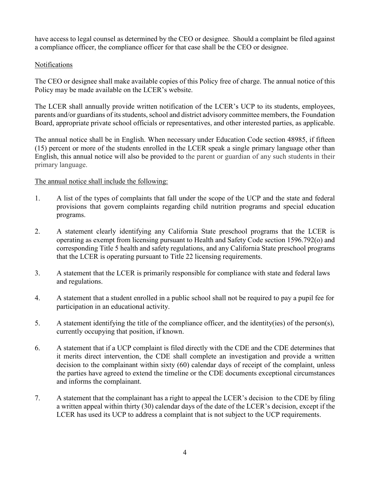have access to legal counsel as determined by the CEO or designee. Should a complaint be filed against a compliance officer, the compliance officer for that case shall be the CEO or designee.

# Notifications

The CEO or designee shall make available copies of this Policy free of charge. The annual notice of this Policy may be made available on the LCER's website.

The LCER shall annually provide written notification of the LCER's UCP to its students, employees, parents and/or guardians of its students, school and district advisory committee members, the Foundation Board, appropriate private school officials or representatives, and other interested parties, as applicable.

The annual notice shall be in English. When necessary under Education Code section 48985, if fifteen (15) percent or more of the students enrolled in the LCER speak a single primary language other than English, this annual notice will also be provided to the parent or guardian of any such students in their primary language.

### The annual notice shall include the following:

- 1. A list of the types of complaints that fall under the scope of the UCP and the state and federal provisions that govern complaints regarding child nutrition programs and special education programs.
- 2. A statement clearly identifying any California State preschool programs that the LCER is operating as exempt from licensing pursuant to Health and Safety Code section 1596.792(o) and corresponding Title 5 health and safety regulations, and any California State preschool programs that the LCER is operating pursuant to Title 22 licensing requirements.
- 3. A statement that the LCER is primarily responsible for compliance with state and federal laws and regulations.
- 4. A statement that a student enrolled in a public school shall not be required to pay a pupil fee for participation in an educational activity.
- 5. A statement identifying the title of the compliance officer, and the identity(ies) of the person(s), currently occupying that position, if known.
- 6. A statement that if a UCP complaint is filed directly with the CDE and the CDE determines that it merits direct intervention, the CDE shall complete an investigation and provide a written decision to the complainant within sixty (60) calendar days of receipt of the complaint, unless the parties have agreed to extend the timeline or the CDE documents exceptional circumstances and informs the complainant.
- 7. A statement that the complainant has a right to appeal the LCER's decision to the CDE by filing a written appeal within thirty (30) calendar days of the date of the LCER's decision, except if the LCER has used its UCP to address a complaint that is not subject to the UCP requirements.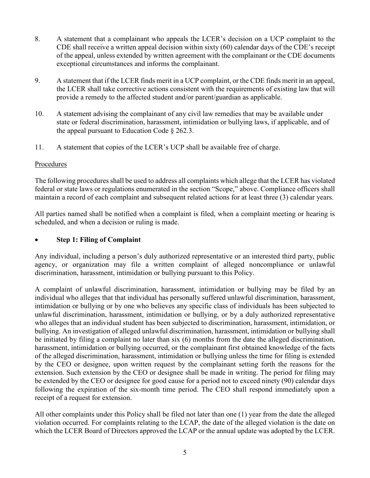- 8. A statement that a complainant who appeals the LCER's decision on a UCP complaint to the CDE shall receive a written appeal decision within sixty (60) calendar days of the CDE's receipt of the appeal, unless extended by written agreement with the complainant or the CDE documents exceptional circumstances and informs the complainant.
- 9. A statement that if the LCER finds merit in a UCP complaint, or the CDE finds merit in an appeal, the LCER shall take corrective actions consistent with the requirements of existing law that will provide a remedy to the affected student and/or parent/guardian as applicable.
- 10. A statement advising the complainant of any civil law remedies that may be available under state or federal discrimination, harassment, intimidation or bullying laws, if applicable, and of the appeal pursuant to Education Code  $\S$  262.3.
- 11. A statement that copies of the LCER's UCP shall be available free of charge.

### Procedures

The following procedures shall be used to address all complaints which allege that the LCER has violated federal or state laws or regulations enumerated in the section "Scope," above. Compliance officers shall maintain a record of each complaint and subsequent related actions for at least three (3) calendar years.

All parties named shall be notified when a complaint is filed, when a complaint meeting or hearing is scheduled, and when a decision or ruling is made.

### • **Step 1: Filing of Complaint**

Any individual, including a person's duly authorized representative or an interested third party, public agency, or organization may file a written complaint of alleged noncompliance or unlawful discrimination, harassment, intimidation or bullying pursuant to this Policy.

A complaint of unlawful discrimination, harassment, intimidation or bullying may be filed by an individual who alleges that that individual has personally suffered unlawful discrimination, harassment, intimidation or bullying or by one who believes any specific class of individuals has been subjected to unlawful discrimination, harassment, intimidation or bullying, or by a duly authorized representative who alleges that an individual student has been subjected to discrimination, harassment, intimidation, or bullying. An investigation of alleged unlawful discrimination, harassment, intimidation or bullying shall be initiated by filing a complaint no later than six (6) months from the date the alleged discrimination, harassment, intimidation or bullying occurred, or the complainant first obtained knowledge of the facts of the alleged discrimination, harassment, intimidation or bullying unless the time for filing is extended by the CEO or designee, upon written request by the complainant setting forth the reasons for the extension. Such extension by the CEO or designee shall be made in writing. The period for filing may be extended by the CEO or designee for good cause for a period not to exceed ninety (90) calendar days following the expiration of the six-month time period. The CEO shall respond immediately upon a receipt of a request for extension.

All other complaints under this Policy shall be filed not later than one (1) year from the date the alleged violation occurred. For complaints relating to the LCAP, the date of the alleged violation is the date on which the LCER Board of Directors approved the LCAP or the annual update was adopted by the LCER.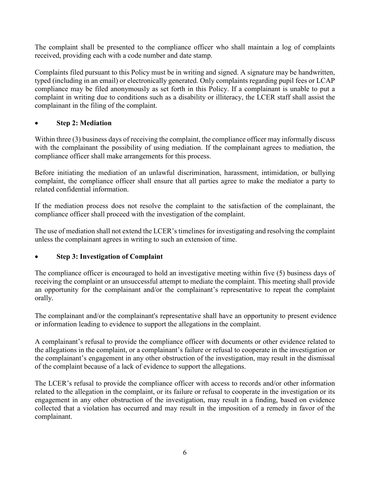The complaint shall be presented to the compliance officer who shall maintain a log of complaints received, providing each with a code number and date stamp.

Complaints filed pursuant to this Policy must be in writing and signed. A signature may be handwritten, typed (including in an email) or electronically generated. Only complaints regarding pupil fees or LCAP compliance may be filed anonymously as set forth in this Policy. If a complainant is unable to put a complaint in writing due to conditions such as a disability or illiteracy, the LCER staff shall assist the complainant in the filing of the complaint.

# • **Step 2: Mediation**

Within three (3) business days of receiving the complaint, the compliance officer may informally discuss with the complainant the possibility of using mediation. If the complainant agrees to mediation, the compliance officer shall make arrangements for this process.

Before initiating the mediation of an unlawful discrimination, harassment, intimidation, or bullying complaint, the compliance officer shall ensure that all parties agree to make the mediator a party to related confidential information.

If the mediation process does not resolve the complaint to the satisfaction of the complainant, the compliance officer shall proceed with the investigation of the complaint.

The use of mediation shall not extend the LCER's timelines for investigating and resolving the complaint unless the complainant agrees in writing to such an extension of time.

### • **Step 3: Investigation of Complaint**

The compliance officer is encouraged to hold an investigative meeting within five (5) business days of receiving the complaint or an unsuccessful attempt to mediate the complaint. This meeting shall provide an opportunity for the complainant and/or the complainant's representative to repeat the complaint orally.

The complainant and/or the complainant's representative shall have an opportunity to present evidence or information leading to evidence to support the allegations in the complaint.

A complainant's refusal to provide the compliance officer with documents or other evidence related to the allegations in the complaint, or a complainant's failure or refusal to cooperate in the investigation or the complainant's engagement in any other obstruction of the investigation, may result in the dismissal of the complaint because of a lack of evidence to support the allegations.

The LCER's refusal to provide the compliance officer with access to records and/or other information related to the allegation in the complaint, or its failure or refusal to cooperate in the investigation or its engagement in any other obstruction of the investigation, may result in a finding, based on evidence collected that a violation has occurred and may result in the imposition of a remedy in favor of the complainant.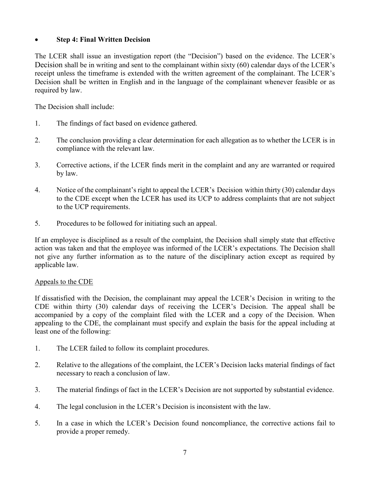## • **Step 4: Final Written Decision**

The LCER shall issue an investigation report (the "Decision") based on the evidence. The LCER's Decision shall be in writing and sent to the complainant within sixty (60) calendar days of the LCER's receipt unless the timeframe is extended with the written agreement of the complainant. The LCER's Decision shall be written in English and in the language of the complainant whenever feasible or as required by law.

The Decision shall include:

- 1. The findings of fact based on evidence gathered.
- 2. The conclusion providing a clear determination for each allegation as to whether the LCER is in compliance with the relevant law.
- 3. Corrective actions, if the LCER finds merit in the complaint and any are warranted or required by law.
- 4. Notice of the complainant's right to appeal the LCER's Decision within thirty (30) calendar days to the CDE except when the LCER has used its UCP to address complaints that are not subject to the UCP requirements.
- 5. Procedures to be followed for initiating such an appeal.

If an employee is disciplined as a result of the complaint, the Decision shall simply state that effective action was taken and that the employee was informed of the LCER's expectations. The Decision shall not give any further information as to the nature of the disciplinary action except as required by applicable law.

### Appeals to the CDE

If dissatisfied with the Decision, the complainant may appeal the LCER's Decision in writing to the CDE within thirty (30) calendar days of receiving the LCER's Decision. The appeal shall be accompanied by a copy of the complaint filed with the LCER and a copy of the Decision. When appealing to the CDE, the complainant must specify and explain the basis for the appeal including at least one of the following:

- 1. The LCER failed to follow its complaint procedures.
- 2. Relative to the allegations of the complaint, the LCER's Decision lacks material findings of fact necessary to reach a conclusion of law.
- 3. The material findings of fact in the LCER's Decision are not supported by substantial evidence.
- 4. The legal conclusion in the LCER's Decision is inconsistent with the law.
- 5. In a case in which the LCER's Decision found noncompliance, the corrective actions fail to provide a proper remedy.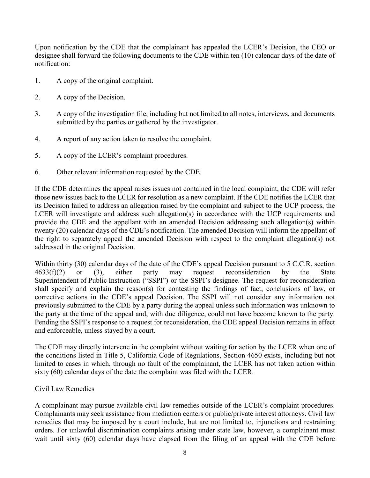Upon notification by the CDE that the complainant has appealed the LCER's Decision, the CEO or designee shall forward the following documents to the CDE within ten (10) calendar days of the date of notification:

- 1. A copy of the original complaint.
- 2. A copy of the Decision.
- 3. A copy of the investigation file, including but not limited to all notes, interviews, and documents submitted by the parties or gathered by the investigator.
- 4. A report of any action taken to resolve the complaint.
- 5. A copy of the LCER's complaint procedures.
- 6. Other relevant information requested by the CDE.

If the CDE determines the appeal raises issues not contained in the local complaint, the CDE will refer those new issues back to the LCER for resolution as a new complaint. If the CDE notifies the LCER that its Decision failed to address an allegation raised by the complaint and subject to the UCP process, the LCER will investigate and address such allegation(s) in accordance with the UCP requirements and provide the CDE and the appellant with an amended Decision addressing such allegation(s) within twenty (20) calendar days of the CDE's notification. The amended Decision will inform the appellant of the right to separately appeal the amended Decision with respect to the complaint allegation(s) not addressed in the original Decision.

Within thirty (30) calendar days of the date of the CDE's appeal Decision pursuant to 5 C.C.R. section  $4633(f)(2)$  or (3), either party may request reconsideration by the State Superintendent of Public Instruction ("SSPI") or the SSPI's designee. The request for reconsideration shall specify and explain the reason(s) for contesting the findings of fact, conclusions of law, or corrective actions in the CDE's appeal Decision. The SSPI will not consider any information not previously submitted to the CDE by a party during the appeal unless such information was unknown to the party at the time of the appeal and, with due diligence, could not have become known to the party. Pending the SSPI's response to a request for reconsideration, the CDE appeal Decision remains in effect and enforceable, unless stayed by a court.

The CDE may directly intervene in the complaint without waiting for action by the LCER when one of the conditions listed in Title 5, California Code of Regulations, Section 4650 exists, including but not limited to cases in which, through no fault of the complainant, the LCER has not taken action within sixty (60) calendar days of the date the complaint was filed with the LCER.

#### Civil Law Remedies

A complainant may pursue available civil law remedies outside of the LCER's complaint procedures. Complainants may seek assistance from mediation centers or public/private interest attorneys. Civil law remedies that may be imposed by a court include, but are not limited to, injunctions and restraining orders. For unlawful discrimination complaints arising under state law, however, a complainant must wait until sixty (60) calendar days have elapsed from the filing of an appeal with the CDE before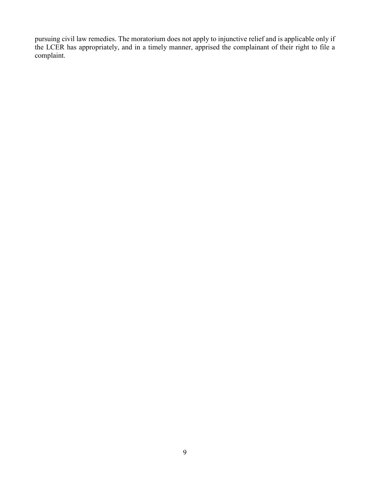pursuing civil law remedies. The moratorium does not apply to injunctive relief and is applicable only if the LCER has appropriately, and in a timely manner, apprised the complainant of their right to file a complaint.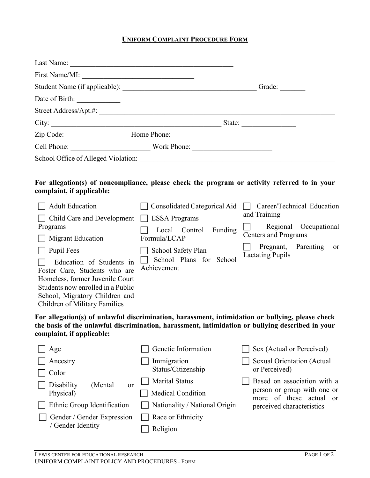# **UNIFORM COMPLAINT PROCEDURE FORM**

|                                                                                                                                                                                                      | Zip Code: __________________________Home Phone: ________________________________                                                                                                                     |                                                            |  |
|------------------------------------------------------------------------------------------------------------------------------------------------------------------------------------------------------|------------------------------------------------------------------------------------------------------------------------------------------------------------------------------------------------------|------------------------------------------------------------|--|
|                                                                                                                                                                                                      |                                                                                                                                                                                                      |                                                            |  |
|                                                                                                                                                                                                      |                                                                                                                                                                                                      |                                                            |  |
| complaint, if applicable:                                                                                                                                                                            | For allegation(s) of noncompliance, please check the program or activity referred to in your                                                                                                         |                                                            |  |
| <b>Adult Education</b>                                                                                                                                                                               | Consolidated Categorical Aid $\Box$                                                                                                                                                                  | Career/Technical Education                                 |  |
| □ Child Care and Development □ ESSA Programs                                                                                                                                                         |                                                                                                                                                                                                      | and Training                                               |  |
| Programs                                                                                                                                                                                             | Local Control Funding                                                                                                                                                                                | Regional Occupational<br><b>Centers and Programs</b>       |  |
| <b>Migrant Education</b><br><b>Pupil Fees</b>                                                                                                                                                        | Formula/LCAP                                                                                                                                                                                         | Pregnant, Parenting or                                     |  |
| Education of Students in<br>Foster Care, Students who are<br>Homeless, former Juvenile Court<br>Students now enrolled in a Public<br>School, Migratory Children and<br>Children of Military Families | School Safety Plan<br>School Plans for School<br>Achievement                                                                                                                                         | <b>Lactating Pupils</b>                                    |  |
| complaint, if applicable:                                                                                                                                                                            | For allegation(s) of unlawful discrimination, harassment, intimidation or bullying, please check<br>the basis of the unlawful discrimination, harassment, intimidation or bullying described in your |                                                            |  |
| Age                                                                                                                                                                                                  | Genetic Information                                                                                                                                                                                  | Sex (Actual or Perceived)                                  |  |
| Ancestry                                                                                                                                                                                             | Immigration                                                                                                                                                                                          | <b>Sexual Orientation (Actual</b>                          |  |
| Color                                                                                                                                                                                                | Status/Citizenship                                                                                                                                                                                   | or Perceived)                                              |  |
| Disability<br>(Mental)<br><b>or</b>                                                                                                                                                                  | <b>Marital Status</b>                                                                                                                                                                                | Based on association with a<br>person or group with one or |  |
| Physical)                                                                                                                                                                                            | <b>Medical Condition</b>                                                                                                                                                                             | more of these actual<br><sub>or</sub>                      |  |
| Ethnic Group Identification                                                                                                                                                                          | Nationality / National Origin                                                                                                                                                                        | perceived characteristics                                  |  |
| Gender / Gender Expression<br>/ Gender Identity                                                                                                                                                      | Race or Ethnicity                                                                                                                                                                                    |                                                            |  |
|                                                                                                                                                                                                      | Religion                                                                                                                                                                                             |                                                            |  |